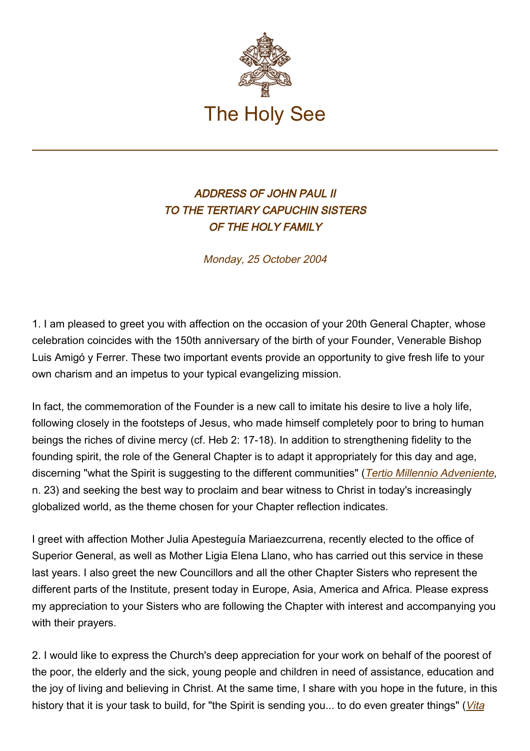

## ADDRESS OF JOHN PAUL II TO THE TERTIARY CAPUCHIN SISTERS OF THE HOLY FAMILY

Monday, 25 October 2004

1. I am pleased to greet you with affection on the occasion of your 20th General Chapter, whose celebration coincides with the 150th anniversary of the birth of your Founder, Venerable Bishop Luis Amigó y Ferrer. These two important events provide an opportunity to give fresh life to your own charism and an impetus to your typical evangelizing mission.

In fact, the commemoration of the Founder is a new call to imitate his desire to live a holy life, following closely in the footsteps of Jesus, who made himself completely poor to bring to human beings the riches of divine mercy (cf. Heb 2: 17-18). In addition to strengthening fidelity to the founding spirit, the role of the General Chapter is to adapt it appropriately for this day and age, discerning "what the Spirit is suggesting to the different communities" ([Tertio Millennio Adveniente](https://www.vatican.va/content/john-paul-ii/en/apost_letters/documents/hf_jp-ii_apl_10111994_tertio-millennio-adveniente.html), n. 23) and seeking the best way to proclaim and bear witness to Christ in today's increasingly globalized world, as the theme chosen for your Chapter reflection indicates.

I greet with affection Mother Julia Apesteguía Mariaezcurrena, recently elected to the office of Superior General, as well as Mother Ligia Elena Llano, who has carried out this service in these last years. I also greet the new Councillors and all the other Chapter Sisters who represent the different parts of the Institute, present today in Europe, Asia, America and Africa. Please express my appreciation to your Sisters who are following the Chapter with interest and accompanying you with their prayers.

2. I would like to express the Church's deep appreciation for your work on behalf of the poorest of the poor, the elderly and the sick, young people and children in need of assistance, education and the joy of living and believing in Christ. At the same time, I share with you hope in the future, in this history that it is your task to build, for "the Spirit is sending you... to do even greater things" (*[Vita](https://www.vatican.va/content/john-paul-ii/en/apost_exhortations/documents/hf_jp-ii_exh_25031996_vita-consecrata.html)*